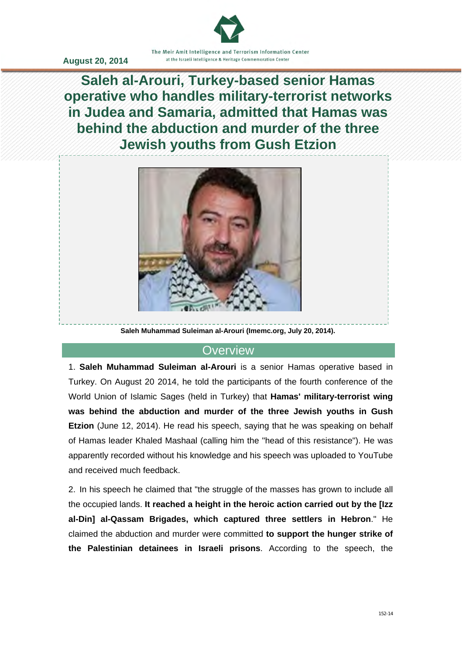

**Saleh al-Arouri, Turkey-based senior Hamas operative who handles military-terrorist networks in Judea and Samaria, admitted that Hamas was behind the abduction and murder of the three Jewish youths from Gush Etzion**



**Saleh Muhammad Suleiman al-Arouri (Imemc.org, July 20, 2014).** 

#### **Overview**

1. **Saleh Muhammad Suleiman al-Arouri** is a senior Hamas operative based in Turkey. On August 20 2014, he told the participants of the fourth conference of the World Union of Islamic Sages (held in Turkey) that **Hamas' military-terrorist wing was behind the abduction and murder of the three Jewish youths in Gush Etzion** (June 12, 2014). He read his speech, saying that he was speaking on behalf of Hamas leader Khaled Mashaal (calling him the "head of this resistance"). He was apparently recorded without his knowledge and his speech was uploaded to YouTube and received much feedback.

2. In his speech he claimed that "the struggle of the masses has grown to include all the occupied lands. **It reached a height in the heroic action carried out by the [Izz al-Din] al-Qassam Brigades, which captured three settlers in Hebron**." He claimed the abduction and murder were committed **to support the hunger strike of the Palestinian detainees in Israeli prisons**. According to the speech, the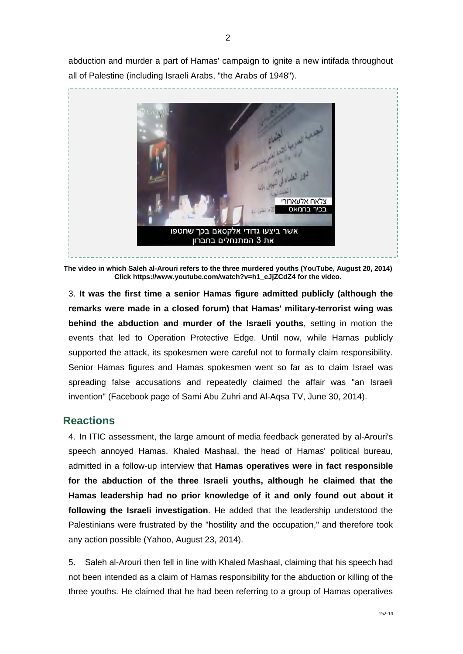abduction and murder a part of Hamas' campaign to ignite a new intifada throughout all of Palestine (including Israeli Arabs, "the Arabs of 1948").



**The video in which Saleh al-Arouri refers to the three murdered youths (YouTube, August 20, 2014) Click https://www.youtube.com/watch?v=h1\_eJjZCdZ4 for the video.** 

3. **It was the first time a senior Hamas figure admitted publicly (although the remarks were made in a closed forum) that Hamas' military-terrorist wing was behind the abduction and murder of the Israeli youths**, setting in motion the events that led to Operation Protective Edge. Until now, while Hamas publicly supported the attack, its spokesmen were careful not to formally claim responsibility. Senior Hamas figures and Hamas spokesmen went so far as to claim Israel was spreading false accusations and repeatedly claimed the affair was "an Israeli invention" (Facebook page of Sami Abu Zuhri and Al-Aqsa TV, June 30, 2014).

## **Reactions**

4. In ITIC assessment, the large amount of media feedback generated by al-Arouri's speech annoyed Hamas. Khaled Mashaal, the head of Hamas' political bureau, admitted in a follow-up interview that **Hamas operatives were in fact responsible for the abduction of the three Israeli youths, although he claimed that the Hamas leadership had no prior knowledge of it and only found out about it following the Israeli investigation**. He added that the leadership understood the Palestinians were frustrated by the "hostility and the occupation," and therefore took any action possible (Yahoo, August 23, 2014).

5. Saleh al-Arouri then fell in line with Khaled Mashaal, claiming that his speech had not been intended as a claim of Hamas responsibility for the abduction or killing of the three youths. He claimed that he had been referring to a group of Hamas operatives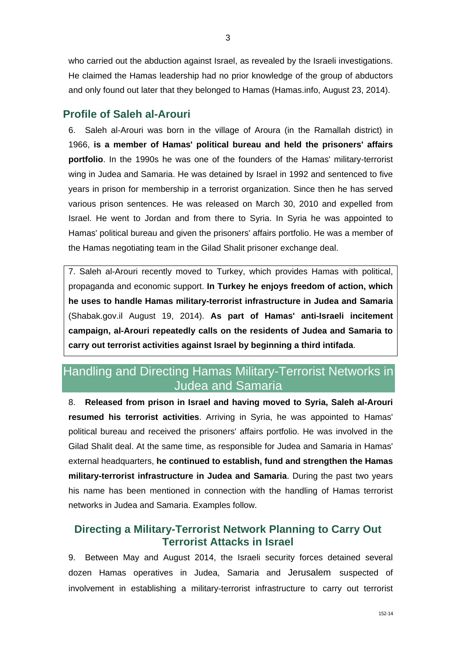who carried out the abduction against Israel, as revealed by the Israeli investigations. He claimed the Hamas leadership had no prior knowledge of the group of abductors and only found out later that they belonged to Hamas (Hamas.info, August 23, 2014).

### **Profile of Saleh al-Arouri**

6. Saleh al-Arouri was born in the village of Aroura (in the Ramallah district) in 1966, **is a member of Hamas' political bureau and held the prisoners' affairs portfolio**. In the 1990s he was one of the founders of the Hamas' military-terrorist wing in Judea and Samaria. He was detained by Israel in 1992 and sentenced to five years in prison for membership in a terrorist organization. Since then he has served various prison sentences. He was released on March 30, 2010 and expelled from Israel. He went to Jordan and from there to Syria. In Syria he was appointed to Hamas' political bureau and given the prisoners' affairs portfolio. He was a member of the Hamas negotiating team in the Gilad Shalit prisoner exchange deal.

7. Saleh al-Arouri recently moved to Turkey, which provides Hamas with political, propaganda and economic support. **In Turkey he enjoys freedom of action, which he uses to handle Hamas military-terrorist infrastructure in Judea and Samaria** (Shabak.gov.il August 19, 2014). **As part of Hamas' anti-Israeli incitement campaign, al-Arouri repeatedly calls on the residents of Judea and Samaria to carry out terrorist activities against Israel by beginning a third intifada**.

## Handling and Directing Hamas Military-Terrorist Networks in Judea and Samaria

8. **Released from prison in Israel and having moved to Syria, Saleh al-Arouri resumed his terrorist activities**. Arriving in Syria, he was appointed to Hamas' political bureau and received the prisoners' affairs portfolio. He was involved in the Gilad Shalit deal. At the same time, as responsible for Judea and Samaria in Hamas' external headquarters, **he continued to establish, fund and strengthen the Hamas military-terrorist infrastructure in Judea and Samaria**. During the past two years his name has been mentioned in connection with the handling of Hamas terrorist networks in Judea and Samaria. Examples follow.

## **Directing a Military-Terrorist Network Planning to Carry Out Terrorist Attacks in Israel**

9. Between May and August 2014, the Israeli security forces detained several dozen Hamas operatives in Judea, Samaria and Jerusalem suspected of involvement in establishing a military-terrorist infrastructure to carry out terrorist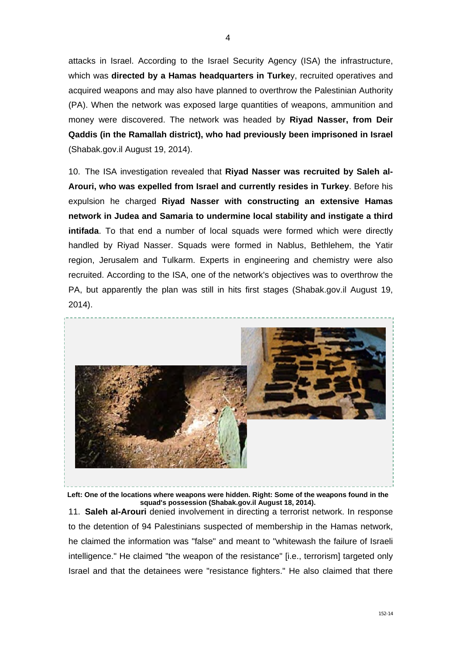attacks in Israel. According to the Israel Security Agency (ISA) the infrastructure, which was **directed by a Hamas headquarters in Turke**y, recruited operatives and acquired weapons and may also have planned to overthrow the Palestinian Authority (PA). When the network was exposed large quantities of weapons, ammunition and money were discovered. The network was headed by **Riyad Nasser, from Deir Qaddis (in the Ramallah district), who had previously been imprisoned in Israel** (Shabak.gov.il August 19, 2014).

10. The ISA investigation revealed that **Riyad Nasser was recruited by Saleh al-Arouri, who was expelled from Israel and currently resides in Turkey**. Before his expulsion he charged **Riyad Nasser with constructing an extensive Hamas network in Judea and Samaria to undermine local stability and instigate a third intifada**. To that end a number of local squads were formed which were directly handled by Riyad Nasser. Squads were formed in Nablus, Bethlehem, the Yatir region, Jerusalem and Tulkarm. Experts in engineering and chemistry were also recruited. According to the ISA, one of the network's objectives was to overthrow the PA, but apparently the plan was still in hits first stages (Shabak.gov.il August 19, 2014).



**Left: One of the locations where weapons were hidden. Right: Some of the weapons found in the squad's possession (Shabak.gov.il August 18, 2014).** 

11. **Saleh al-Arouri** denied involvement in directing a terrorist network. In response to the detention of 94 Palestinians suspected of membership in the Hamas network, he claimed the information was "false" and meant to "whitewash the failure of Israeli intelligence." He claimed "the weapon of the resistance" [i.e., terrorism] targeted only Israel and that the detainees were "resistance fighters." He also claimed that there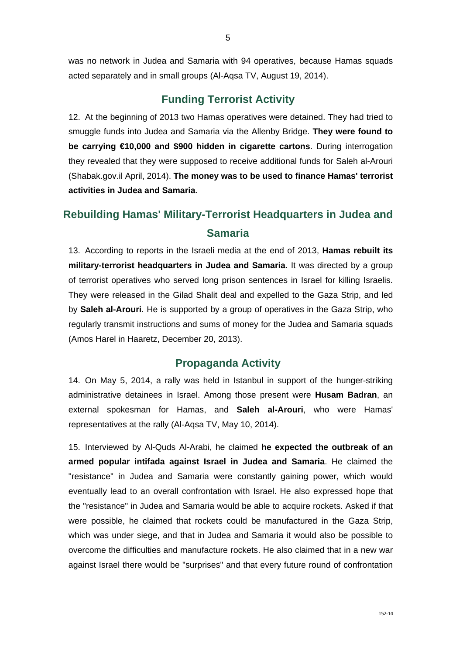5

was no network in Judea and Samaria with 94 operatives, because Hamas squads acted separately and in small groups (Al-Aqsa TV, August 19, 2014).

## **Funding Terrorist Activity**

12. At the beginning of 2013 two Hamas operatives were detained. They had tried to smuggle funds into Judea and Samaria via the Allenby Bridge. **They were found to be carrying €10,000 and \$900 hidden in cigarette cartons**. During interrogation they revealed that they were supposed to receive additional funds for Saleh al-Arouri (Shabak.gov.il April, 2014). **The money was to be used to finance Hamas' terrorist activities in Judea and Samaria**.

# **Rebuilding Hamas' Military-Terrorist Headquarters in Judea and Samaria**

13. According to reports in the Israeli media at the end of 2013, **Hamas rebuilt its military-terrorist headquarters in Judea and Samaria**. It was directed by a group of terrorist operatives who served long prison sentences in Israel for killing Israelis. They were released in the Gilad Shalit deal and expelled to the Gaza Strip, and led by **Saleh al-Arouri**. He is supported by a group of operatives in the Gaza Strip, who regularly transmit instructions and sums of money for the Judea and Samaria squads (Amos Harel in Haaretz, December 20, 2013).

### **Propaganda Activity**

14. On May 5, 2014, a rally was held in Istanbul in support of the hunger-striking administrative detainees in Israel. Among those present were **Husam Badran**, an external spokesman for Hamas, and **Saleh al-Arouri**, who were Hamas' representatives at the rally (Al-Aqsa TV, May 10, 2014).

15. Interviewed by Al-Quds Al-Arabi, he claimed **he expected the outbreak of an armed popular intifada against Israel in Judea and Samaria**. He claimed the "resistance" in Judea and Samaria were constantly gaining power, which would eventually lead to an overall confrontation with Israel. He also expressed hope that the "resistance" in Judea and Samaria would be able to acquire rockets. Asked if that were possible, he claimed that rockets could be manufactured in the Gaza Strip, which was under siege, and that in Judea and Samaria it would also be possible to overcome the difficulties and manufacture rockets. He also claimed that in a new war against Israel there would be "surprises" and that every future round of confrontation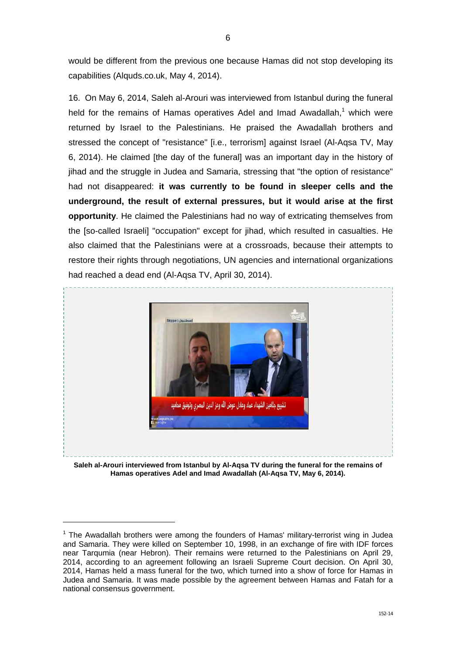would be different from the previous one because Hamas did not stop developing its capabilities (Alquds.co.uk, May 4, 2014).

16. On May 6, 2014, Saleh al-Arouri was interviewed from Istanbul during the funeral held for the remains of Hamas operatives Adel and Imad Awadallah,<sup>1</sup> which were returned by Israel to the Palestinians. He praised the Awadallah brothers and stressed the concept of "resistance" [i.e., terrorism] against Israel (Al-Aqsa TV, May 6, 2014). He claimed [the day of the funeral] was an important day in the history of jihad and the struggle in Judea and Samaria, stressing that "the option of resistance" had not disappeared: **it was currently to be found in sleeper cells and the underground, the result of external pressures, but it would arise at the first opportunity**. He claimed the Palestinians had no way of extricating themselves from the [so-called Israeli] "occupation" except for jihad, which resulted in casualties. He also claimed that the Palestinians were at a crossroads, because their attempts to restore their rights through negotiations, UN agencies and international organizations had reached a dead end (Al-Aqsa TV, April 30, 2014).



**Saleh al-Arouri interviewed from Istanbul by Al-Aqsa TV during the funeral for the remains of Hamas operatives Adel and Imad Awadallah (Al-Aqsa TV, May 6, 2014).** 

 $\overline{a}$ 

 $1$  The Awadallah brothers were among the founders of Hamas' military-terrorist wing in Judea and Samaria. They were killed on September 10, 1998, in an exchange of fire with IDF forces near Tarqumia (near Hebron). Their remains were returned to the Palestinians on April 29, 2014, according to an agreement following an Israeli Supreme Court decision. On April 30, 2014, Hamas held a mass funeral for the two, which turned into a show of force for Hamas in Judea and Samaria. It was made possible by the agreement between Hamas and Fatah for a national consensus government.